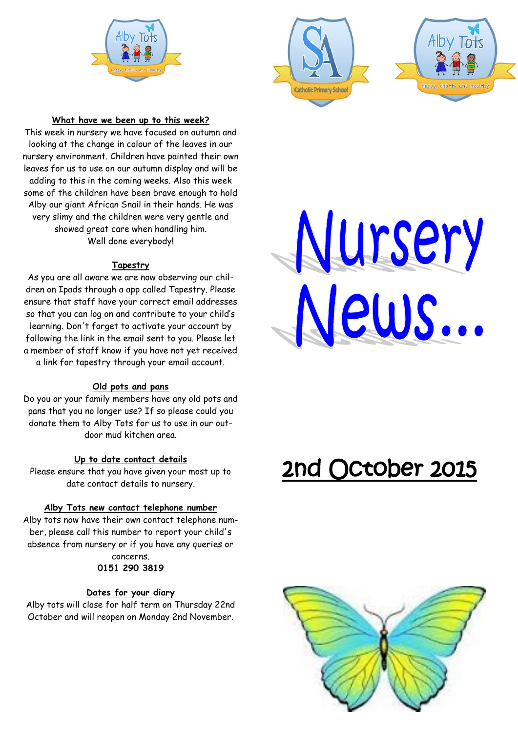





### **What have we been up to this week?**

This week in nursery we have focused on autumn and looking at the change in colour of the leaves in our nursery environment. Children have painted their own leaves for us to use on our autumn display and will be adding to this in the coming weeks. Also this week some of the children have been brave enough to hold Alby our giant African Snail in their hands. He was very slimy and the children were very gentle and showed great care when handling him. Well done everybody!

#### **Tapestry**

As you are all aware we are now observing our children on Ipads through a app called Tapestry. Please ensure that staff have your correct email addresses so that you can log on and contribute to your child's learning. Don't forget to activate your account by following the link in the email sent to you. Please let a member of staff know if you have not yet received a link for tapestry through your email account.

### **Old pots and pans**

Do you or your family members have any old pots and pans that you no longer use? If so please could you donate them to Alby Tots for us to use in our outdoor mud kitchen area.

### **Up to date contact details**

Please ensure that you have given your most up to date contact details to nursery.

### **Alby Tots new contact telephone number**

Alby tots now have their own contact telephone number, please call this number to report your child's absence from nursery or if you have any queries or concerns.

### **0151 290 3819**

#### **Dates for your diary**

Alby tots will close for half term on Thursday 22nd October and will reopen on Monday 2nd November.



# 2nd October 2015